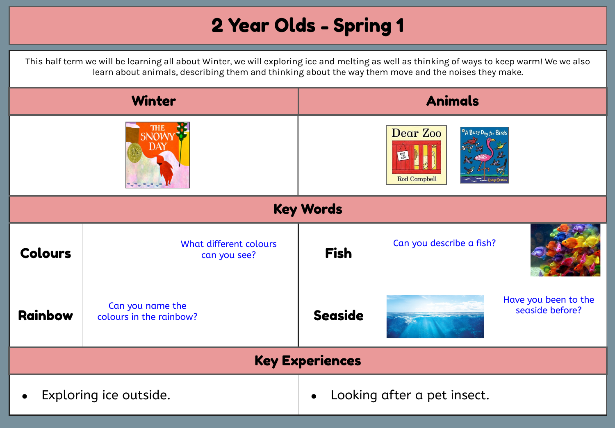## 2 Year Olds - Spring 1

This half term we will be learning all about Winter, we will exploring ice and melting as well as thinking of ways to keep warm! We we also learn about animals, describing them and thinking about the way them move and the noises they make.

| <b>Winter</b>          |                                             | <b>Animals</b>                                                                                                                                                         |                                         |  |
|------------------------|---------------------------------------------|------------------------------------------------------------------------------------------------------------------------------------------------------------------------|-----------------------------------------|--|
| THE<br>SNOWY<br>DAY    |                                             | Dear Zoo<br><sup>O</sup> A Busy Day for Birds<br>$\begin{array}{c}\n\epsilon_{\text{rad}} \\ \tau_{\text{rad}} \\ \tau_{\text{c}}\n\end{array}$<br><b>Rod Campbell</b> |                                         |  |
| <b>Key Words</b>       |                                             |                                                                                                                                                                        |                                         |  |
| <b>Colours</b>         | What different colours<br>can you see?      | <b>Fish</b>                                                                                                                                                            | Can you describe a fish?                |  |
| Rainbow                | Can you name the<br>colours in the rainbow? | <b>Seaside</b>                                                                                                                                                         | Have you been to the<br>seaside before? |  |
| <b>Key Experiences</b> |                                             |                                                                                                                                                                        |                                         |  |
| Exploring ice outside. |                                             | Looking after a pet insect.                                                                                                                                            |                                         |  |